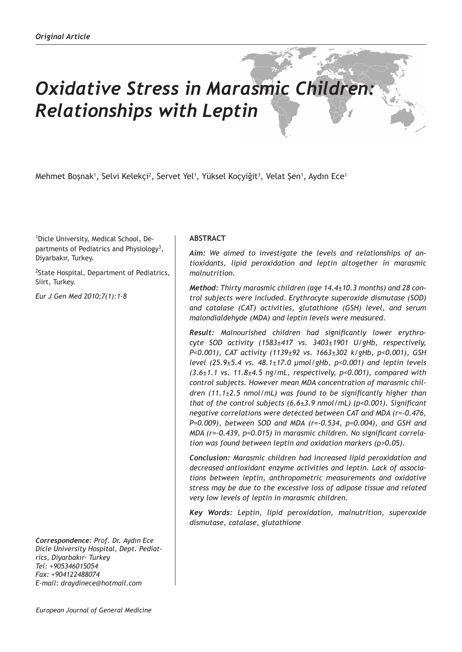# *Oxidative Stress in Marasmic Children: Relationships with Leptin*

Mehmet Boşnak<sup>ı</sup>, Selvi Kelekçi<sup>2</sup>, Servet Yel<sup>1</sup>, Yüksel Koçyiğit<sup>3</sup>, Velat Şen<sup>1</sup>, Aydın Ece<sup>1</sup>

1 Dicle University, Medical School, Departments of Pediatrics and Physiology<sup>3</sup>, Diyarbakır, Turkey.

<sup>2</sup>State Hospital, Department of Pediatrics, Siirt, Turkey.

*Eur J Gen Med 2010;7(1):1-8*

*Correspondence: Prof. Dr. Aydın Ece Dicle University Hospital, Dept. Pediatrics, Diyarbakır- Turkey Tel: +905346015054 Fax: +904122488074 E-mail: draydinece@hotmail.com*

# **ABSTRACT**

*Aim: We aimed to investigate the levels and relationships of antioxidants, lipid peroxidation and leptin altogether in marasmic malnutrition.* 

*Method: Thirty marasmic children (age 14.4±10.3 months) and 28 control subjects were included. Erythrocyte superoxide dismutase (SOD) and catalase (CAT) activities, glutathione (GSH) level, and serum malondialdehyde (MDA) and leptin levels were measured.*

*Result: Malnourished children had significantly lower erythrocyte SOD activity (1583±417 vs. 3403±1901 U/gHb, respectively, P<0.001), CAT activity (1139±92 vs. 1663±302 k/gHb, p<0.001), GSH level (25.9±5.4 vs. 48.1±17.0 μmol/gHb, p<0.001) and leptin levels (3.6±1.1 vs. 11.8±4.5 ng/mL, respectively, p<0.001), compared with control subjects. However mean MDA concentration of marasmic children (11.1±2.5 nmol/mL) was found to be significantly higher than that of the control subjects (6.6±3.9 nmol/mL) (p<0.001). Significant negative correlations were detected between CAT and MDA (r=-0.476, P=0.009), between SOD and MDA (r=-0.534, p=0.004), and GSH and MDA (r=-0.439, p=0.015) in marasmic children. No significant correlation was found between leptin and oxidation markers (p>0.05).*

*Conclusion: Marasmic children had increased lipid peroxidation and decreased antioxidant enzyme activities and leptin. Lack of associations between leptin, anthropometric measurements and oxidative stress may be due to the excessive loss of adipose tissue and related very low levels of leptin in marasmic children.* 

*Key Words: Leptin, lipid peroxidation, malnutrition, superoxide dismutase, catalase, glutathione*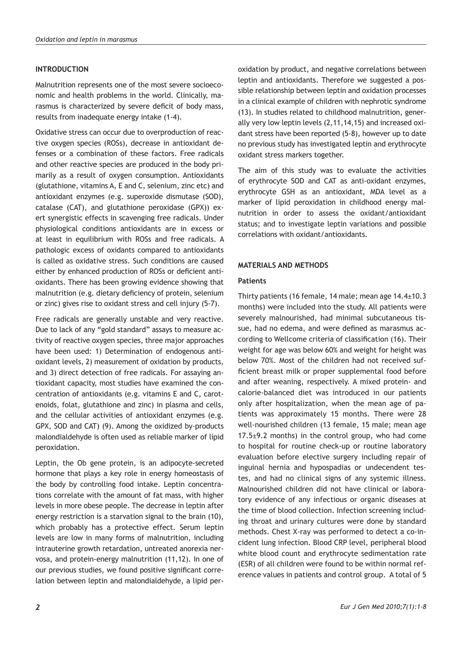# **INTRODUCTION**

Malnutrition represents one of the most severe socioeconomic and health problems in the world. Clinically, marasmus is characterized by severe deficit of body mass, results from inadequate energy intake (1-4).

Oxidative stress can occur due to overproduction of reactive oxygen species (ROSs), decrease in antioxidant defenses or a combination of these factors. Free radicals and other reactive species are produced in the body primarily as a result of oxygen consumption. Antioxidants (glutathione, vitamins A, E and C, selenium, zinc etc) and antioxidant enzymes (e.g. superoxide dismutase (SOD), catalase (CAT), and glutathione peroxidase (GPX)) exert synergistic effects in scavenging free radicals. Under physiological conditions antioxidants are in excess or at least in equilibrium with ROSs and free radicals. A pathologic excess of oxidants compared to antioxidants is called as oxidative stress. Such conditions are caused either by enhanced production of ROSs or deficient antioxidants. There has been growing evidence showing that malnutrition (e.g. dietary deficiency of protein, selenium or zinc) gives rise to oxidant stress and cell injury (5-7).

Free radicals are generally unstable and very reactive. Due to lack of any "gold standard" assays to measure activity of reactive oxygen species, three major approaches have been used: 1) Determination of endogenous antioxidant levels, 2) measurement of oxidation by products, and 3) direct detection of free radicals. For assaying antioxidant capacity, most studies have examined the concentration of antioxidants (e.g. vitamins E and C, carotenoids, folat, glutathione and zinc) in plasma and cells, and the cellular activities of antioxidant enzymes (e.g. GPX, SOD and CAT) (9). Among the oxidized by-products malondialdehyde is often used as reliable marker of lipid peroxidation.

Leptin, the Ob gene protein, is an adipocyte-secreted hormone that plays a key role in energy homeostasis of the body by controlling food intake. Leptin concentrations correlate with the amount of fat mass, with higher levels in more obese people. The decrease in leptin after energy restriction is a starvation signal to the brain (10), which probably has a protective effect. Serum leptin levels are low in many forms of malnutrition, including intrauterine growth retardation, untreated anorexia nervosa, and protein-energy malnutrition (11,12). In one of our previous studies, we found positive significant correlation between leptin and malondialdehyde, a lipid per-

oxidation by product, and negative correlations between leptin and antioxidants. Therefore we suggested a possible relationship between leptin and oxidation processes in a clinical example of children with nephrotic syndrome (13). In studies related to childhood malnutrition, generally very low leptin levels (2,11,14,15) and increased oxidant stress have been reported (5-8), however up to date no previous study has investigated leptin and erythrocyte oxidant stress markers together.

The aim of this study was to evaluate the activities of erythrocyte SOD and CAT as anti-oxidant enzymes, erythrocyte GSH as an antioxidant, MDA level as a marker of lipid peroxidation in childhood energy malnutrition in order to assess the oxidant/antioxidant status; and to investigate leptin variations and possible correlations with oxidant/antioxidants.

# **MATERIALS AND METHODS**

## **Patients**

Thirty patients (16 female, 14 male; mean age 14.4±10.3 months) were included into the study. All patients were severely malnourished, had minimal subcutaneous tissue, had no edema, and were defined as marasmus according to Wellcome criteria of classification (16). Their weight for age was below 60% and weight for height was below 70%. Most of the children had not received sufficient breast milk or proper supplemental food before and after weaning, respectively. A mixed protein- and calorie-balanced diet was introduced in our patients only after hospitalization, when the mean age of patients was approximately 15 months. There were 28 well-nourished children (13 female, 15 male; mean age  $17.5±9.2$  months) in the control group, who had come to hospital for routine check-up or routine laboratory evaluation before elective surgery including repair of inguinal hernia and hypospadias or undecendent testes, and had no clinical signs of any systemic illness. Malnourished children did not have clinical or laboratory evidence of any infectious or organic diseases at the time of blood collection. Infection screening including throat and urinary cultures were done by standard methods. Chest X-ray was performed to detect a co-incident lung infection. Blood CRP level, peripheral blood white blood count and erythrocyte sedimentation rate (ESR) of all children were found to be within normal reference values in patients and control group. A total of 5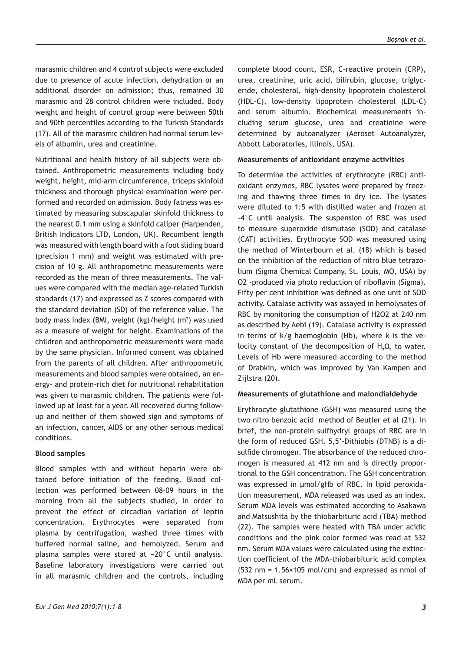marasmic children and 4 control subjects were excluded due to presence of acute infection, dehydration or an additional disorder on admission; thus, remained 30 marasmic and 28 control children were included. Body weight and height of control group were between 50th and 90th percentiles according to the Turkish Standards (17). All of the marasmic children had normal serum levels of albumin, urea and creatinine.

Nutritional and health history of all subjects were obtained. Anthropometric measurements including body weight, height, mid-arm circumference, triceps skinfold thickness and thorough physical examination were performed and recorded on admission. Body fatness was estimated by measuring subscapular skinfold thickness to the nearest 0.1 mm using a skinfold caliper (Harpenden, British Indicators LTD, London, UK). Recumbent length was measured with length board with a foot sliding board (precision 1 mm) and weight was estimated with precision of 10 g. All anthropometric measurements were recorded as the mean of three measurements. The values were compared with the median age-related Turkish standards (17) and expressed as Z scores compared with the standard deviation (SD) of the reference value. The body mass index (BMI, weight (kg)/height (m<sup>2</sup>) was used as a measure of weight for height. Examinations of the children and anthropometric measurements were made by the same physician. Informed consent was obtained from the parents of all children. After anthropometric measurements and blood samples were obtained, an energy- and protein-rich diet for nutritional rehabilitation was given to marasmic children. The patients were followed up at least for a year. All recovered during followup and neither of them showed sign and symptoms of an infection, cancer, AIDS or any other serious medical conditions.

## **Blood samples**

Blood samples with and without heparin were obtained before initiation of the feeding. Blood collection was performed between 08-09 hours in the morning from all the subjects studied, in order to prevent the effect of circadian variation of leptin concentration. Erythrocytes were separated from plasma by centrifugation, washed three times with buffered normal saline, and hemolyzed. Serum and plasma samples were stored at −20°C until analysis. Baseline laboratory investigations were carried out in all marasmic children and the controls, including

complete blood count, ESR, C-reactive protein (CRP), urea, creatinine, uric acid, bilirubin, glucose, triglyceride, cholesterol, high-density lipoprotein cholesterol (HDL-C), low-density lipoprotein cholesterol (LDL-C) and serum albumin. Biochemical measurements including serum glucose, urea and creatinine were determined by autoanalyzer (Aeroset Autoanalyzer, Abbott Laboratories, Illinois, USA).

#### **Measurements of antioxidant enzyme activities**

To determine the activities of erythrocyte (RBC) antioxidant enzymes, RBC lysates were prepared by freezing and thawing three times in dry ice. The lysates were diluted to 1:5 with distilled water and frozen at -4°C until analysis. The suspension of RBC was used to measure superoxide dismutase (SOD) and catalase (CAT) activities. Erythrocyte SOD was measured using the method of Winterbourn et al. (18) which is based on the inhibition of the reduction of nitro blue tetrazolium (Sigma Chemical Company, St. Louis, MO, USA) by O2 -produced via photo reduction of riboflavin (Sigma). Fifty per cent inhibition was defined as one unit of SOD activity. Catalase activity was assayed in hemolysates of RBC by monitoring the consumption of H2O2 at 240 nm as described by Aebi (19). Catalase activity is expressed in terms of k/g haemoglobin (Hb), where k is the velocity constant of the decomposition of  $H_2O_2$  to water. Levels of Hb were measured according to the method of Drabkin, which was improved by Van Kampen and Zijlstra (20).

### **Measurements of glutathione and malondialdehyde**

Erythrocyte glutathione (GSH) was measured using the two nitro benzoic acid method of Beutler et al (21). In brief, the non-protein sulfhydryl groups of RBC are in the form of reduced GSH. 5,5'-Dithiobis (DTNB) is a disulfide chromogen. The absorbance of the reduced chromogen is measured at 412 nm and is directly proportional to the GSH concentration. The GSH concentration was expressed in μmol/gHb of RBC. In lipid peroxidation measurement, MDA released was used as an index. Serum MDA levels was estimated according to Asakawa and Matsushita by the thiobarbituric acid (TBA) method (22). The samples were heated with TBA under acidic conditions and the pink color formed was read at 532 nm. Serum MDA values were calculated using the extinction coefficient of the MDA–thiobarbituric acid complex (532 nm = 1.56×105 mol/cm) and expressed as nmol of MDA per mL serum.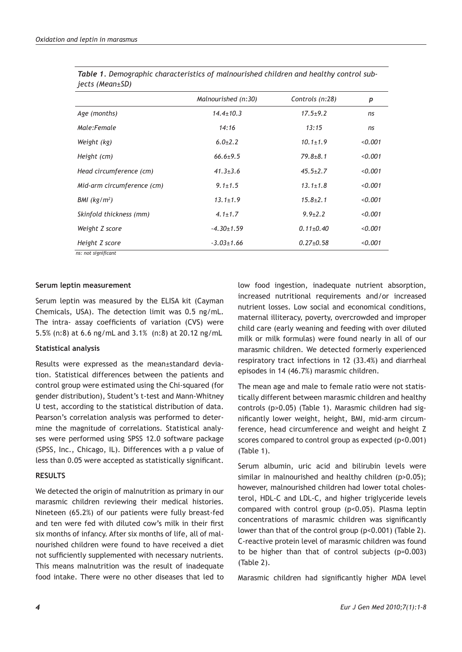|                            | Malnourished (n:30) | Controls (n:28) | p       |
|----------------------------|---------------------|-----------------|---------|
| Age (months)               | $14.4 \pm 10.3$     | $17.5 + 9.2$    | ns      |
| Male:Female                | 14:16               | 13:15           | ns      |
| Weight (kg)                | $6.0 \pm 2.2$       | $10.1 + 1.9$    | 0.001   |
| Height (cm)                | $66.6 + 9.5$        | $79.8 + 8.1$    | < 0.001 |
| Head circumference (cm)    | $41.3 \pm 3.6$      | $45.5 + 2.7$    | < 0.001 |
| Mid-arm circumference (cm) | $9.1 \pm 1.5$       | $13.1 \pm 1.8$  | < 0.001 |
| BMI (kg/m <sup>2</sup> )   | $13.1 \pm 1.9$      | $15.8 \pm 2.1$  | < 0.001 |
| Skinfold thickness (mm)    | $4.1 \pm 1.7$       | $9.9 \pm 2.2$   | < 0.001 |
| Weight Z score             | $-4.30 \pm 1.59$    | $0.11 \pm 0.40$ | < 0.001 |
| Height Z score             | $-3.03 \pm 1.66$    | $0.27 + 0.58$   | < 0.001 |
| ns: not significant        |                     |                 |         |

| Table 1. Demographic characteristics of malnourished children and healthy control sub- |  |
|----------------------------------------------------------------------------------------|--|
| jects (Mean±SD)                                                                        |  |

## **Serum leptin measurement**

Serum leptin was measured by the ELISA kit (Cayman Chemicals, USA). The detection limit was 0.5 ng/mL. The intra- assay coefficients of variation (CVS) were 5.5% (n:8) at 6.6 ng/mL and 3.1% (n:8) at 20.12 ng/mL

## **Statistical analysis**

Results were expressed as the mean±standard deviation. Statistical differences between the patients and control group were estimated using the Chi-squared (for gender distribution), Student's t-test and Mann-Whitney U test, according to the statistical distribution of data. Pearson's correlation analysis was performed to determine the magnitude of correlations. Statistical analyses were performed using SPSS 12.0 software package (SPSS, Inc., Chicago, IL). Differences with a p value of less than 0.05 were accepted as statistically significant.

## **RESULTS**

We detected the origin of malnutrition as primary in our marasmic children reviewing their medical histories. Nineteen (65.2%) of our patients were fully breast-fed and ten were fed with diluted cow's milk in their first six months of infancy. After six months of life, all of malnourished children were found to have received a diet not sufficiently supplemented with necessary nutrients. This means malnutrition was the result of inadequate food intake. There were no other diseases that led to

low food ingestion, inadequate nutrient absorption, increased nutritional requirements and/or increased nutrient losses. Low social and economical conditions, maternal illiteracy, poverty, overcrowded and improper child care (early weaning and feeding with over diluted milk or milk formulas) were found nearly in all of our marasmic children. We detected formerly experienced respiratory tract infections in 12 (33.4%) and diarrheal episodes in 14 (46.7%) marasmic children.

The mean age and male to female ratio were not statistically different between marasmic children and healthy controls (p>0.05) (Table 1). Marasmic children had significantly lower weight, height, BMI, mid-arm circumference, head circumference and weight and height Z scores compared to control group as expected (p<0.001) (Table 1).

Serum albumin, uric acid and bilirubin levels were similar in malnourished and healthy children (p>0.05); however, malnourished children had lower total cholesterol, HDL-C and LDL-C, and higher triglyceride levels compared with control group (p<0.05). Plasma leptin concentrations of marasmic children was significantly lower than that of the control group (p<0.001) (Table 2). C-reactive protein level of marasmic children was found to be higher than that of control subjects (p=0.003) (Table 2).

Marasmic children had significantly higher MDA level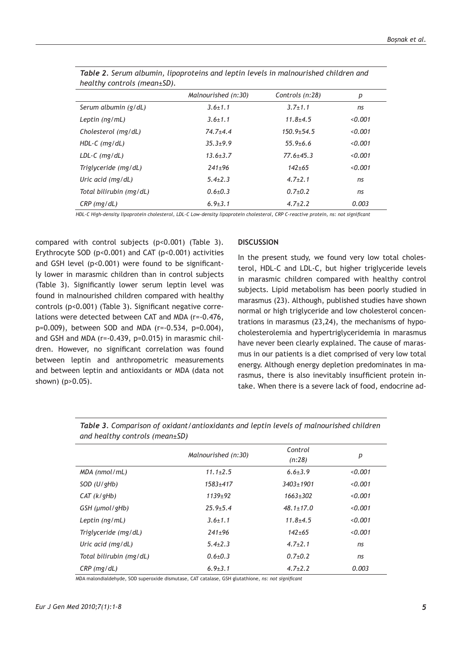| healthy controls (mean $\pm$ SD). |                     |                 |         |
|-----------------------------------|---------------------|-----------------|---------|
|                                   | Malnourished (n:30) | Controls (n:28) | р       |
| Serum albumin (g/dL)              | $3.6 \pm 1.1$       | $3.7 + 1.1$     | ns      |
| Leptin $(nq/mL)$                  | $3.6 \pm 1.1$       | $11.8 + 4.5$    | < 0.001 |
| Cholesterol (mg/dL)               | $74.7 + 4.4$        | $150.9 + 54.5$  | < 0.001 |
| $HDL-C$ (mg/dL)                   | $35.3 + 9.9$        | $55.9 + 6.6$    | < 0.001 |
| $LDL-C$ (mg/dL)                   | $13.6 \pm 3.7$      | $77.6 \pm 45.3$ | < 0.001 |
| Triglyceride (mg/dL)              | $241+96$            | $142 + 65$      | < 0.001 |
| Uric acid (mg/dL)                 | $5.4 + 2.3$         | $4.7+2.1$       | ns      |
| Total bilirubin (mg/dL)           | $0.6 + 0.3$         | $0.7+0.2$       | ns      |
| $CRP$ (mg/dL)                     | $6.9{\pm}3.1$       | $4.7 \pm 2.2$   | 0.003   |

*Table 2. Serum albumin, lipoproteins and leptin levels in malnourished children and* 

*HDL-C High-density lipoprotein cholesterol, LDL-C Low-density lipoprotein cholesterol, CRP C-reactive protein, ns: not significant*

compared with control subjects (p<0.001) (Table 3). Erythrocyte SOD ( $p$ <0.001) and CAT ( $p$ <0.001) activities and GSH level (p<0.001) were found to be significantly lower in marasmic children than in control subjects (Table 3). Significantly lower serum leptin level was found in malnourished children compared with healthy controls (p<0.001) (Table 3). Significant negative correlations were detected between CAT and MDA (r=-0.476, p=0.009), between SOD and MDA (r=-0.534, p=0.004), and GSH and MDA (r=-0.439, p=0.015) in marasmic children. However, no significant correlation was found between leptin and anthropometric measurements and between leptin and antioxidants or MDA (data not shown) (p>0.05).

# **DISCUSSION**

In the present study, we found very low total cholesterol, HDL-C and LDL-C, but higher triglyceride levels in marasmic children compared with healthy control subjects. Lipid metabolism has been poorly studied in marasmus (23). Although, published studies have shown normal or high triglyceride and low cholesterol concentrations in marasmus (23,24), the mechanisms of hypocholesterolemia and hypertriglyceridemia in marasmus have never been clearly explained. The cause of marasmus in our patients is a diet comprised of very low total energy. Although energy depletion predominates in marasmus, there is also inevitably insufficient protein intake. When there is a severe lack of food, endocrine ad-

|                         | Malnourished (n:30) | Control<br>(n:28) | р       |
|-------------------------|---------------------|-------------------|---------|
| MDA (nmol/mL)           | $11.1 \pm 2.5$      | $6.6 \pm 3.9$     | < 0.001 |
| $SOD$ (U/gHb)           | $1583 + 417$        | $3403 + 1901$     | < 0.001 |
| CAT (k/qHb)             | $1139+92$           | $1663 \pm 302$    | < 0.001 |
| GSH (µmol/gHb)          | $25.9 + 5.4$        | $48.1 \pm 17.0$   | < 0.001 |
| Leptin (ng/mL)          | $3.6 \pm 1.1$       | $11.8 + 4.5$      | < 0.001 |
| Triglyceride (mg/dL)    | $241+96$            | $142 + 65$        | < 0.001 |
| Uric acid (mg/dL)       | $5.4 \pm 2.3$       | $4.7 \pm 2.1$     | ns      |
| Total bilirubin (mg/dL) | $0.6{\pm}0.3$       | $0.7+0.2$         | ns      |
| $CRP$ (mg/dL)           | $6.9 \pm 3.1$       | $4.7 \pm 2.2$     | 0.003   |

*Table 3. Comparison of oxidant/antioxidants and leptin levels of malnourished children and healthy controls (mean±SD)*

MDA malondialdehyde, SOD superoxide dismutase, CAT catalase, GSH glutathione, *ns: not significant*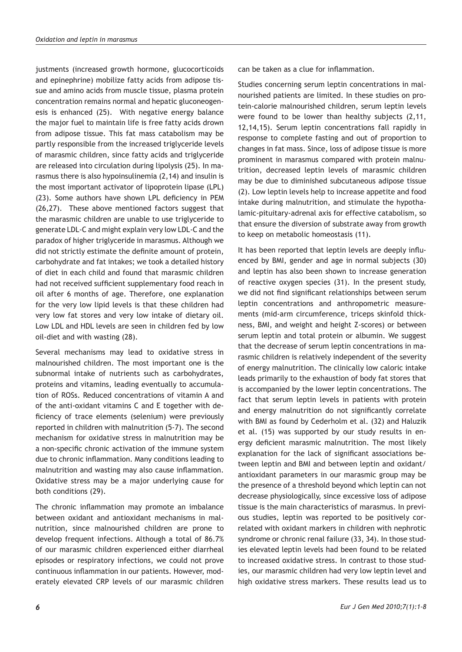justments (increased growth hormone, glucocorticoids and epinephrine) mobilize fatty acids from adipose tissue and amino acids from muscle tissue, plasma protein concentration remains normal and hepatic gluconeogenesis is enhanced (25). With negative energy balance the major fuel to maintain life is free fatty acids drown from adipose tissue. This fat mass catabolism may be partly responsible from the increased triglyceride levels of marasmic children, since fatty acids and triglyceride are released into circulation during lipolysis (25). In marasmus there is also hypoinsulinemia (2,14) and insulin is the most important activator of lipoprotein lipase (LPL) (23). Some authors have shown LPL deficiency in PEM (26,27). These above mentioned factors suggest that the marasmic children are unable to use triglyceride to generate LDL-C and might explain very low LDL-C and the paradox of higher triglyceride in marasmus. Although we did not strictly estimate the definite amount of protein, carbohydrate and fat intakes; we took a detailed history of diet in each child and found that marasmic children had not received sufficient supplementary food reach in oil after 6 months of age. Therefore, one explanation for the very low lipid levels is that these children had very low fat stores and very low intake of dietary oil. Low LDL and HDL levels are seen in children fed by low oil-diet and with wasting (28).

Several mechanisms may lead to oxidative stress in malnourished children. The most important one is the subnormal intake of nutrients such as carbohydrates, proteins and vitamins, leading eventually to accumulation of ROSs. Reduced concentrations of vitamin A and of the anti-oxidant vitamins C and E together with deficiency of trace elements (selenium) were previously reported in children with malnutrition (5-7). The second mechanism for oxidative stress in malnutrition may be a non-specific chronic activation of the immune system due to chronic inflammation. Many conditions leading to malnutrition and wasting may also cause inflammation. Oxidative stress may be a major underlying cause for both conditions (29).

The chronic inflammation may promote an imbalance between oxidant and antioxidant mechanisms in malnutrition, since malnourished children are prone to develop frequent infections. Although a total of 86.7% of our marasmic children experienced either diarrheal episodes or respiratory infections, we could not prove continuous inflammation in our patients. However, moderately elevated CRP levels of our marasmic children

can be taken as a clue for inflammation.

Studies concerning serum leptin concentrations in malnourished patients are limited. In these studies on protein-calorie malnourished children, serum leptin levels were found to be lower than healthy subjects (2,11, 12,14,15). Serum leptin concentrations fall rapidly in response to complete fasting and out of proportion to changes in fat mass. Since, loss of adipose tissue is more prominent in marasmus compared with protein malnutrition, decreased leptin levels of marasmic children may be due to diminished subcutaneous adipose tissue (2). Low leptin levels help to increase appetite and food intake during malnutrition, and stimulate the hypothalamic-pituitary-adrenal axis for effective catabolism, so that ensure the diversion of substrate away from growth to keep on metabolic homeostasis (11).

It has been reported that leptin levels are deeply influenced by BMI, gender and age in normal subjects (30) and leptin has also been shown to increase generation of reactive oxygen species (31). In the present study, we did not find significant relationships between serum leptin concentrations and anthropometric measurements (mid-arm circumference, triceps skinfold thickness, BMI, and weight and height Z-scores) or between serum leptin and total protein or albumin. We suggest that the decrease of serum leptin concentrations in marasmic children is relatively independent of the severity of energy malnutrition. The clinically low caloric intake leads primarily to the exhaustion of body fat stores that is accompanied by the lower leptin concentrations. The fact that serum leptin levels in patients with protein and energy malnutrition do not significantly correlate with BMI as found by Cederholm et al. (32) and Haluzik et al. (15) was supported by our study results in energy deficient marasmic malnutrition. The most likely explanation for the lack of significant associations between leptin and BMI and between leptin and oxidant/ antioxidant parameters in our marasmic group may be the presence of a threshold beyond which leptin can not decrease physiologically, since excessive loss of adipose tissue is the main characteristics of marasmus. In previous studies, leptin was reported to be positively correlated with oxidant markers in children with nephrotic syndrome or chronic renal failure (33, 34). In those studies elevated leptin levels had been found to be related to increased oxidative stress. In contrast to those studies, our marasmic children had very low leptin level and high oxidative stress markers. These results lead us to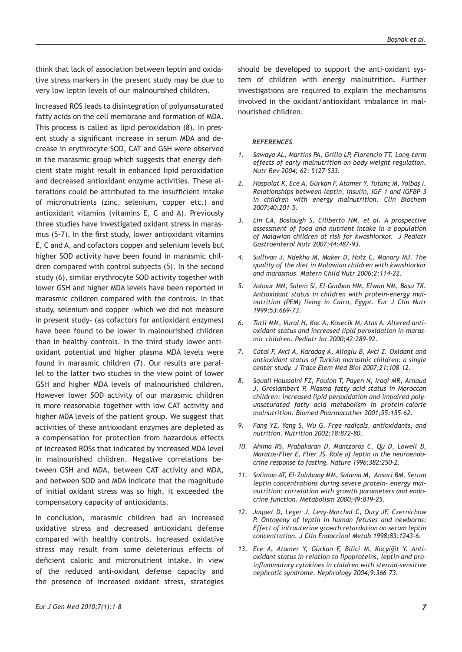think that lack of association between leptin and oxidative stress markers in the present study may be due to very low leptin levels of our malnourished children.

Increased ROS leads to disintegration of polyunsaturated fatty acids on the cell membrane and formation of MDA. This process is called as lipid peroxidation (8). In present study a significant increase in serum MDA and decrease in erythrocyte SOD, CAT and GSH were observed in the marasmic group which suggests that energy deficient state might result in enhanced lipid peroxidation and decreased antioxidant enzyme activities. These alterations could be attributed to the insufficient intake of micronutrients (zinc, selenium, copper etc.) and antioxidant vitamins (vitamins E, C and A). Previously three studies have investigated oxidant stress in marasmus (5-7). In the first study, lower antioxidant vitamins E, C and A, and cofactors copper and selenium levels but higher SOD activity have been found in marasmic children compared with control subjects (5). In the second study (6), similar erythrocyte SOD activity together with lower GSH and higher MDA levels have been reported in marasmic children compared with the controls. In that study, selenium and copper -which we did not measure in present study- (as cofactors for antioxidant enzymes) have been found to be lower in malnourished children than in healthy controls. In the third study lower antioxidant potential and higher plasma MDA levels were found in marasmic children (7). Our results are parallel to the latter two studies in the view point of lower GSH and higher MDA levels of malnourished children. However lower SOD activity of our marasmic children is more reasonable together with low CAT activity and higher MDA levels of the patient group. We suggest that activities of these antioxidant enzymes are depleted as a compensation for protection from hazardous effects of increased ROSs that indicated by increased MDA level in malnourished children. Negative correlations between GSH and MDA, between CAT activity and MDA, and between SOD and MDA indicate that the magnitude of initial oxidant stress was so high, it exceeded the compensatory capacity of antioxidants.

In conclusion, marasmic children had an increased oxidative stress and decreased antioxidant defense compared with healthy controls. Increased oxidative stress may result from some deleterious effects of deficient caloric and micronutrient intake. In view of the reduced anti-oxidant defense capacity and the presence of increased oxidant stress, strategies

*2. Haspolat K, Ece A, Gürkan F, Atamer Y, Tutanç M, Yolbaş I. Relationships between leptin, insulin, IGF-1 and IGFBP-3 in children with energy malnutrition. Clin Biochem 2007;40:201-5.*

nourished children.

*REFERENCES*

*Nutr Rev 2004; 62: S127-S33.*

*3. Lin CA, Boslaugh S, Ciliberto HM, et al. A prospective assessment of food and nutrient intake in a population of Malawian children at risk for kwashiorkor. J Pediatr Gastroenterol Nutr 2007;44:487-93.*

*1. Sawaya AL, Martins PA, Grillo LP, Florencio TT. Long-term effects of early malnutrition on body weight regulation.* 

should be developed to support the anti-oxidant system of children with energy malnutrition. Further investigations are required to explain the mechanisms involved in the oxidant/antioxidant imbalance in mal-

- *4. Sullivan J, Ndekha M, Maker D, Hotz C, Manary MJ. The quality of the diet in Malawian children with kwashiorkor and marasmus. Matern Child Nutr 2006;2:114-22.*
- *5. Ashour MN, Salem SI, El-Gadban HM, Elwan NM, Basu TK. Antioxidant status in children with protein-energy malnutrition (PEM) living in Cairo, Egypt. Eur J Clin Nutr 1999;53:669-73.*
- *6. Tatli MM, Vural H, Koc A, Kosecik M, Atas A. Altered antioxidant status and increased lipid peroxidation in marasmic children. Pediatr Int 2000;42:289-92.*
- *7. Catal F, Avci A, Karadag A, Alioglu B, Avci Z. Oxidant and antioxidant status of Turkish marasmic children: a single center study. J Trace Elem Med Biol 2007;21:108-12.*
- *8. Squali Houssaini FZ, Foulon T, Payen N, Iraqi MR, Arnaud J, Groslambert P. Plasma fatty acid status in Moroccan children: increased lipid peroxidation and impaired polyunsaturated fatty acid metabolism in protein-calorie malnutrition. Biomed Pharmacother 2001;55:155-62.*
- *9. Fang YZ, Yang S, Wu G. Free radicals, antioxidants, and nutrition. Nutrition 2002;18:872-80.*
- *10. Ahima RS, Prabakaran D, Mantzoros C, Qu D, Lowell B, Maratos-Flier E, Flier JS. Role of leptin in the neuroendocrine response to fasting. Nature 1996;382:250-2.*
- *11. Soliman AT, El-Zalabany MM, Salama M, Ansari BM. Serum leptin concentrations during severe protein– energy malnutrition: correlation with growth parameters and endocrine function. Metabolism 2000;49:819–25.*
- *12. Jaquet D, Leger J, Levy-Marchal C, Oury JF, Czernichow P. Ontogeny of leptin in human fetuses and newborns: Effect of intrauterine growth retardation on serum leptin concentration. J Clin Endocrinol Metab 1998;83:1243-6.*
- *13. Ece A, Atamer Y, Gürkan F, Bilici M, Koçyiğit Y. Antioxidant status in relation to lipoproteins, leptin and proinflammatory cytokines in children with steroid-sensitive nephrotic syndrome. Nephrology 2004;9:366–73.*